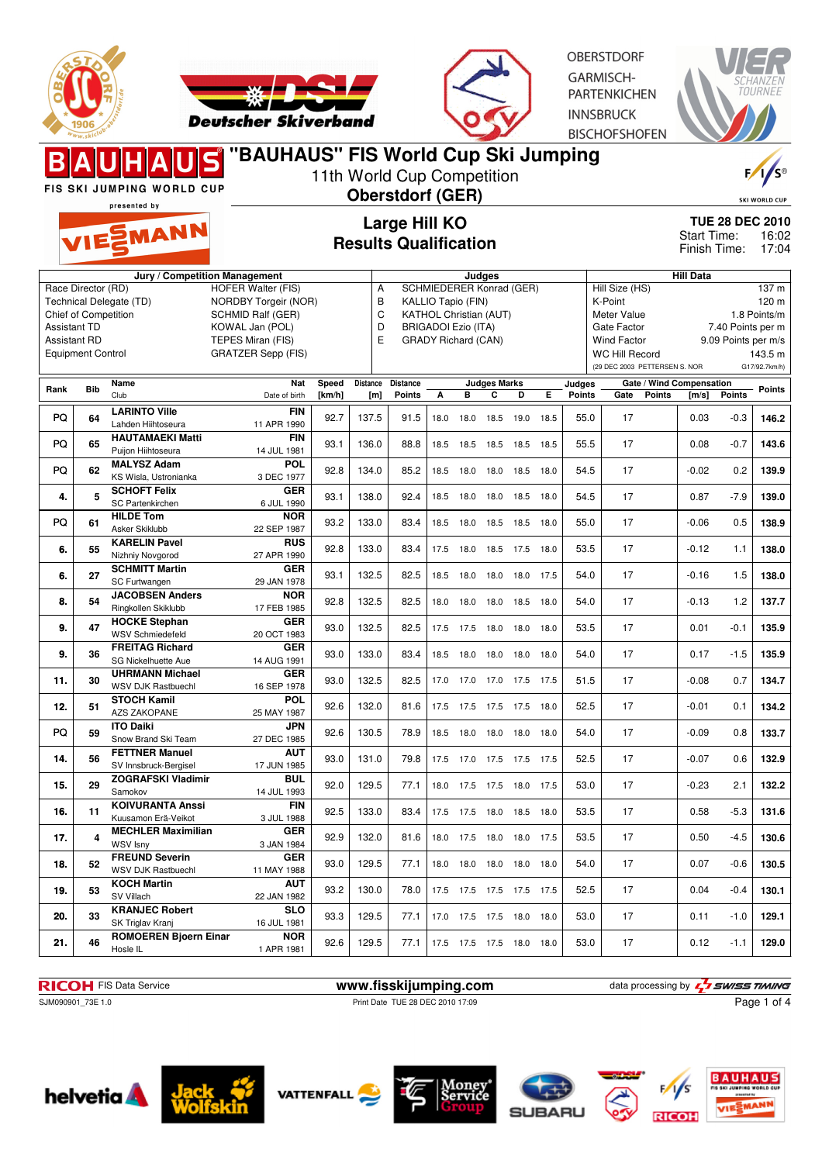



**OBERSTDORF GARMISCH-**PARTENKICHEN **INNSBRUCK BISCHOFSHOFEN** 

|                                                                                                                             |            | <b>FIS SKI JUMPING WORLD CUP</b><br>presented by    | "BAUHAUS" FIS World Cup Ski Jumping                                                                                                                |                                               |                       | 11th World Cup Competition<br><b>Oberstdorf (GER)</b> |                                                                                                                                             |           |                          |                |      |               |                                                                                                                                         |                  |                                          | $\frac{1}{s}$<br><b>SKI WORLD CUP</b>                                 |
|-----------------------------------------------------------------------------------------------------------------------------|------------|-----------------------------------------------------|----------------------------------------------------------------------------------------------------------------------------------------------------|-----------------------------------------------|-----------------------|-------------------------------------------------------|---------------------------------------------------------------------------------------------------------------------------------------------|-----------|--------------------------|----------------|------|---------------|-----------------------------------------------------------------------------------------------------------------------------------------|------------------|------------------------------------------|-----------------------------------------------------------------------|
|                                                                                                                             |            | VIESMANN                                            |                                                                                                                                                    | Large Hill KO<br><b>Results Qualification</b> |                       |                                                       |                                                                                                                                             |           |                          |                |      |               |                                                                                                                                         |                  |                                          | <b>TUE 28 DEC 2010</b><br>16:02<br>17:04                              |
|                                                                                                                             |            |                                                     | Jury / Competition Management                                                                                                                      |                                               |                       |                                                       |                                                                                                                                             |           | Judges                   |                |      |               |                                                                                                                                         | <b>Hill Data</b> |                                          |                                                                       |
| Race Director (RD)<br><b>Chief of Competition</b><br><b>Assistant TD</b><br><b>Assistant RD</b><br><b>Equipment Control</b> |            | Technical Delegate (TD)                             | <b>HOFER Walter (FIS)</b><br><b>NORDBY Torgeir (NOR)</b><br>SCHMID Ralf (GER)<br>KOWAL Jan (POL)<br>TEPES Miran (FIS)<br><b>GRATZER Sepp (FIS)</b> |                                               | Α<br>B<br>C<br>D<br>E |                                                       | SCHMIEDERER Konrad (GER)<br>KALLIO Tapio (FIN)<br><b>KATHOL Christian (AUT)</b><br><b>BRIGADOI Ezio (ITA)</b><br><b>GRADY Richard (CAN)</b> |           |                          |                |      |               | Hill Size (HS)<br>K-Point<br>Meter Value<br>Gate Factor<br><b>Wind Factor</b><br><b>WC Hill Record</b><br>(29 DEC 2003 PETTERSEN S. NOR |                  | 7.40 Points per m<br>9.09 Points per m/s | 137 <sub>m</sub><br>120 m<br>1.8 Points/m<br>143.5 m<br>G17/92.7km/h) |
| Rank                                                                                                                        | <b>Bib</b> | Name                                                | Nat                                                                                                                                                | Speed                                         | Distance              | <b>Distance</b>                                       |                                                                                                                                             |           | <b>Judges Marks</b>      |                |      | Judges        | Gate / Wind Compensation                                                                                                                |                  |                                          | Points                                                                |
|                                                                                                                             |            | Club<br><b>LARINTO Ville</b>                        | Date of birth<br><b>FIN</b>                                                                                                                        | [km/h]                                        | [m]                   | Points                                                | А                                                                                                                                           | В         | С                        | D              | Е    | <b>Points</b> | Gate<br><b>Points</b>                                                                                                                   | [m/s]            | <b>Points</b>                            |                                                                       |
| PQ                                                                                                                          | 64         | Lahden Hiihtoseura                                  | 11 APR 1990                                                                                                                                        | 92.7                                          | 137.5                 | 91.5                                                  | 18.0                                                                                                                                        | 18.0      | 18.5                     | 19.0           | 18.5 | 55.0          | 17                                                                                                                                      | 0.03             | $-0.3$                                   | 146.2                                                                 |
| PQ                                                                                                                          | 65         | <b>HAUTAMAEKI Matti</b><br>Puiion Hiihtoseura       | <b>FIN</b><br>14 JUL 1981                                                                                                                          | 93.1                                          | 136.0                 | 88.8                                                  | 18.5                                                                                                                                        | 18.5      | 18.5                     | 18.5           | 18.5 | 55.5          | 17                                                                                                                                      | 0.08             | $-0.7$                                   | 143.6                                                                 |
| PQ                                                                                                                          | 62         | <b>MALYSZ Adam</b><br>KS Wisla, Ustronianka         | <b>POL</b><br>3 DEC 1977                                                                                                                           | 92.8                                          | 134.0                 | 85.2                                                  |                                                                                                                                             | 18.5 18.0 |                          | 18.0 18.5 18.0 |      | 54.5          | 17                                                                                                                                      | $-0.02$          | 0.2                                      | 139.9                                                                 |
| 4.                                                                                                                          | 5          | <b>SCHOFT Felix</b><br>SC Partenkirchen             | <b>GER</b><br>6 JUL 1990                                                                                                                           | 93.1                                          | 138.0                 | 92.4                                                  |                                                                                                                                             | 18.5 18.0 |                          | 18.0 18.5      | 18.0 | 54.5          | 17                                                                                                                                      | 0.87             | $-7.9$                                   | 139.0                                                                 |
| PQ                                                                                                                          | 61         | <b>HILDE Tom</b><br>Asker Skiklubb                  | <b>NOR</b><br>22 SEP 1987                                                                                                                          | 93.2                                          | 133.0                 | 83.4                                                  |                                                                                                                                             |           | 18.5 18.0 18.5 18.5 18.0 |                |      | 55.0          | 17                                                                                                                                      | $-0.06$          | 0.5                                      | 138.9                                                                 |
| 6.                                                                                                                          | 55         | <b>KARELIN Pavel</b><br>Nizhniy Novgorod            | <b>RUS</b><br>27 APR 1990                                                                                                                          | 92.8                                          | 133.0                 | 83.4                                                  |                                                                                                                                             | 17.5 18.0 |                          | 18.5 17.5 18.0 |      | 53.5          | 17                                                                                                                                      | $-0.12$          | 1.1                                      | 138.0                                                                 |
| 6.                                                                                                                          | 27         | <b>SCHMITT Martin</b><br>SC Furtwangen              | <b>GER</b><br>29 JAN 1978                                                                                                                          | 93.1                                          | 132.5                 | 82.5                                                  | 18.5                                                                                                                                        | 18.0      | 18.0                     | 18.0           | 17.5 | 54.0          | 17                                                                                                                                      | $-0.16$          | 1.5                                      | 138.0                                                                 |
| 8.                                                                                                                          | 54         | <b>JACOBSEN Anders</b><br>Ringkollen Skiklubb       | <b>NOR</b><br>17 FEB 1985                                                                                                                          | 92.8                                          | 132.5                 | 82.5                                                  |                                                                                                                                             | 18.0 18.0 |                          | 18.0 18.5 18.0 |      | 54.0          | 17                                                                                                                                      | $-0.13$          | 1.2                                      | 137.7                                                                 |
| 9.                                                                                                                          | 47         | <b>HOCKE Stephan</b><br><b>WSV Schmiedefeld</b>     | <b>GER</b><br>20 OCT 1983                                                                                                                          | 93.0                                          | 132.5                 | 82.5                                                  |                                                                                                                                             |           | 17.5 17.5 18.0 18.0 18.0 |                |      | 53.5          | 17                                                                                                                                      | 0.01             | $-0.1$                                   | 135.9                                                                 |
| 9.                                                                                                                          | 36         | <b>FREITAG Richard</b><br>SG Nickelhuette Aue       | <b>GER</b><br>14 AUG 1991                                                                                                                          | 93.0                                          | 133.0                 | 83.4                                                  |                                                                                                                                             |           | 18.5 18.0 18.0 18.0 18.0 |                |      | 54.0          | 17                                                                                                                                      | 0.17             | $-1.5$                                   | 135.9                                                                 |
| 11.                                                                                                                         | 30         | <b>UHRMANN Michael</b><br><b>WSV DJK Rastbuechl</b> | <b>GER</b><br>16 SEP 1978                                                                                                                          | 93.0                                          | 132.5                 | 82.5                                                  |                                                                                                                                             |           | 17.0 17.0 17.0 17.5 17.5 |                |      | 51.5          | 17                                                                                                                                      | $-0.08$          | 0.7                                      | 134.7                                                                 |
| 12.                                                                                                                         | 51         | <b>STOCH Kamil</b><br>AZS ZAKOPANE                  | <b>POL</b><br>25 MAY 1987                                                                                                                          | 92.6                                          | 132.0                 | 81.6                                                  |                                                                                                                                             |           | 17.5 17.5 17.5 17.5 18.0 |                |      | 52.5          | 17                                                                                                                                      | $-0.01$          | 0.1                                      | 134.2                                                                 |
| PQ                                                                                                                          | 59         | <b>ITO Daiki</b><br>Snow Brand Ski Team             | <b>JPN</b><br>27 DEC 1985                                                                                                                          | 92.6                                          | 130.5                 | 78.9                                                  |                                                                                                                                             | 18.5 18.0 | 18.0                     | 18.0           | 18.0 | 54.0          | 17                                                                                                                                      | $-0.09$          | 0.8                                      | 133.7                                                                 |
| 14.                                                                                                                         | 56         | <b>FETTNER Manuel</b><br>SV Innsbruck-Bergisel      | <b>AUT</b><br>17 JUN 1985                                                                                                                          | 93.0                                          | 131.0                 | 79.8                                                  |                                                                                                                                             |           | 17.5 17.0 17.5 17.5 17.5 |                |      | 52.5          | 17                                                                                                                                      | $-0.07$          | 0.6                                      | 132.9                                                                 |
| 15.                                                                                                                         | 29         | <b>ZOGRAFSKI Vladimir</b><br>Samokov                | <b>BUL</b><br>14 JUL 1993                                                                                                                          | 92.0                                          | 129.5                 | 77.1                                                  |                                                                                                                                             |           | 18.0 17.5 17.5 18.0 17.5 |                |      | 53.0          | 17                                                                                                                                      | $-0.23$          | 2.1                                      | 132.2                                                                 |
| 16.                                                                                                                         | 11         | <b>KOIVURANTA Anssi</b><br>Kuusamon Erä-Veikot      | <b>FIN</b><br>3 JUL 1988                                                                                                                           | 92.5                                          | 133.0                 | 83.4                                                  |                                                                                                                                             |           | 17.5 17.5 18.0 18.5 18.0 |                |      | 53.5          | 17                                                                                                                                      | 0.58             | -5.3                                     | 131.6                                                                 |
| 17.                                                                                                                         | 4          | <b>MECHLER Maximilian</b><br>WSV Isny               | <b>GER</b><br>3 JAN 1984                                                                                                                           | 92.9                                          | 132.0                 | 81.6                                                  |                                                                                                                                             |           | 18.0 17.5 18.0 18.0 17.5 |                |      | 53.5          | 17                                                                                                                                      | 0.50             | $-4.5$                                   | 130.6                                                                 |
| 18.                                                                                                                         | 52         | <b>FREUND Severin</b><br>WSV DJK Rastbuechl         | <b>GER</b><br>11 MAY 1988                                                                                                                          | 93.0                                          | 129.5                 | 77.1                                                  |                                                                                                                                             |           | 18.0 18.0 18.0 18.0 18.0 |                |      | 54.0          | 17                                                                                                                                      | 0.07             | $-0.6$                                   | 130.5                                                                 |
| 19.                                                                                                                         | 53         | <b>KOCH Martin</b><br>SV Villach                    | <b>AUT</b><br>22 JAN 1982                                                                                                                          | 93.2                                          | 130.0                 | 78.0                                                  |                                                                                                                                             |           | 17.5 17.5 17.5 17.5 17.5 |                |      | 52.5          | 17                                                                                                                                      | 0.04             | -0.4                                     | 130.1                                                                 |
| 20.                                                                                                                         | 33         | <b>KRANJEC Robert</b><br>SK Triglav Kranj           | <b>SLO</b><br>16 JUL 1981                                                                                                                          | 93.3                                          | 129.5                 | 77.1                                                  |                                                                                                                                             |           | 17.0 17.5 17.5 18.0 18.0 |                |      | 53.0          | 17                                                                                                                                      | 0.11             | $-1.0$                                   | 129.1                                                                 |
| 21.                                                                                                                         | 46         | <b>ROMOEREN Bjoern Einar</b><br>Hosle IL            | <b>NOR</b><br>1 APR 1981                                                                                                                           | 92.6                                          | 129.5                 | 77.1                                                  |                                                                                                                                             |           | 17.5 17.5 17.5 18.0 18.0 |                |      | 53.0          | 17                                                                                                                                      | 0.12             | $-1.1$                                   | 129.0                                                                 |

**RICOH** FIS Data Service **www.fisskijumping.com** data processing by  $\frac{7}{2}$  SWISS TIMING SUN090901\_73E 1.0 Print Date TUE 28 DEC 2010 17:09 Print Date TUE 28 DEC 2010 17:09

Page 1 of 4













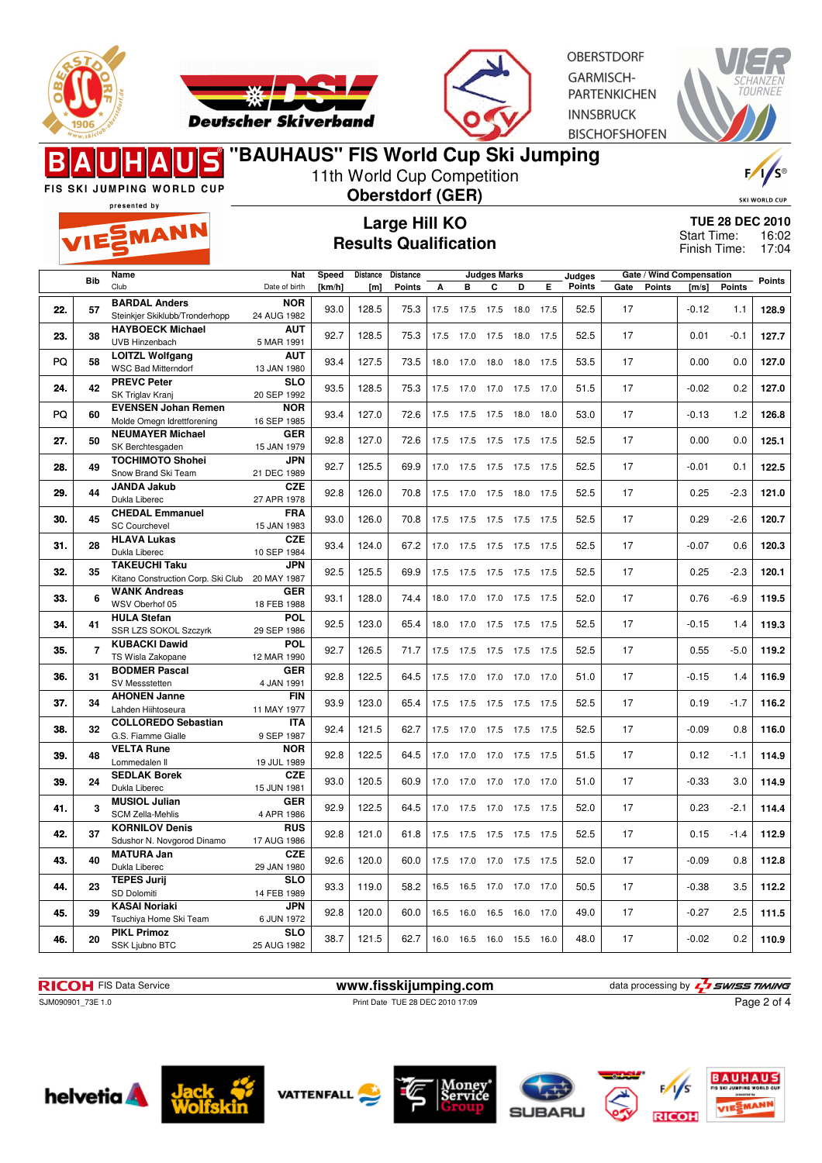



OBERSTDORE **GARMISCH-PARTENKICHEN INNSBRUCK BISCHOFSHOFEN** 



#### 11th World Cup Competition FIS SKI JUMPING WORLD CUP **Oberstdorf (GER)** SKI WORLD CUP presented by **Large Hill KO** EMANN Start Time: **Results Qualification** Finish Time: **Distance Speed Distance Judges Marks Bib Name Nat Judges Gate / Wind Compensation Gate Points [m/s] Points Points** Club **Points** Date of birth **[km/h] [m] Points A B C D E <sup>57</sup> BARDAL Anders NOR** 22. 57 **CHILIA AUGUST 1982 128.9** 24 AUG 1982 33.0 128.5 75.3 17.5 17.5 17.5 18.0 17.5 52.5 17 17 -0.12 1.1 128.9 Steinkier Skiklubb/Tronderhopp **<sup>38</sup> HAYBOECK Michael AUT 23.** 38 **DIPLEMENT MARK 1991 22.7** 128.5 75.3 17.5 17.0 17.5 18.0 17.5 52.5 17 0.01 -0.1 127.7 UVB Hinzenbach **<sup>58</sup> LOITZL Wolfgang AUT** PQ 93.4 127.5 73.5 18.0 17.0 18.0 18.0 17.5 53.5 17 0.00 0.0 **127.0** WSC Bad Mitterndorf 13 JAN 1980 **<sup>42</sup> PREVC Peter SLO** 20 SEP 1992 **24.** 93.5 128.5 75.3 17.5 17.0 17.0 17.5 17.0 51.5 17 -0.02 0.2 **127.0** SK Triglav Kranj **<sup>60</sup> EVENSEN Johan Remen NOR** PQ 60 Nolde Omegn Idrettforening 16 SEP 1985 93.4 127.0 72.6 17.5 17.5 17.5 18.0 18.0 53.0 17 -0.13 1.2 126.8 **<sup>50</sup> NEUMAYER Michael GER 27.** 50 SK Berchtesgaden 15 JAN 1979 92.8 127.0 72.6 17.5 17.5 17.5 17.5 17.5 17.5 17.5 17 0.00 0.0 125.1 SK Berchtesgaden **<sup>49</sup> TOCHIMOTO Shohei JPN** 28. 49 **COMING 10 ORDER 1989 28.7** 125.5 69.9 17.0 17.5 17.5 17.5 17.5 17.5 17.5 17.5 17 120.5 122.5 Snow Brand Ski Team **<sup>44</sup> JANDA Jakub CZE** 27 APR 1978 **29.** 92.8 126.0 70.8 17.5 17.0 17.5 18.0 17.5 52.5 17 0.25 -2.3 **121.0** Dukla Liberec **<sup>45</sup> CHEDAL Emmanuel FRA** 15 JAN 1983 **30.** 93.0 126.0 70.8 17.5 17.5 17.5 17.5 17.5 52.5 17 0.29 -2.6 **120.7** SC Courchevel **<sup>28</sup> HLAVA Lukas CZE**<br>10 SEP 1984 **31.** 28 Dukla Liberec 10 10 SEP 1984 33.4 124.0 67.2 17.0 17.5 17.5 17.5 17.5 52.5 17 17 -0.07 0.6 120.3 Dukla Liberec **<sup>35</sup> TAKEUCHI Taku JPN 32.** 35 Kitano Construction Corp. Ski Club 20 MAY 1987 32.5 125.5 69.9 17.5 17.5 17.5 17.5 17.5 17.5 52.5 17 17 0.25 -2.3 120.1

18 FEB 1988 **33.** 93.1 128.0 74.4 18.0 17.0 17.0 17.5 17.5 52.0 17 0.76 -6.9 **119.5**

SSR LZS SOKOL Szczyrk 29 SEP 1986 **34.** 92.5 123.0 65.4 18.0 17.0 17.5 17.5 17.5 52.5 17 -0.15 1.4 **119.3**

12 MAR 1990 **35.** 92.7 126.5 71.7 17.5 17.5 17.5 17.5 17.5 52.5 17 0.55 -5.0 **119.2**

4 JAN 1991 **36.** 92.8 122.5 64.5 17.5 17.0 17.0 17.0 17.0 51.0 17 -0.15 1.4 **116.9**

**37.** 34 Canden Hiihtoseura 11 MAY 1977 33.9 123.0 65.4 17.5 17.5 17.5 17.5 17.5 17.5 17.5 17 17 0.19 -1.7 116.2

**TUE 28 DEC 2010** 16:02 17:04

| 38. | 32 | <b>COLLOREDO Sebastian</b><br>G.S. Fiamme Gialle    | <b>ITA</b><br>9 SEP 1987  | 92.4 | 121.5 | 62.7 | 17.5 | 17.0 | 17.5 | 17.5 | 17.5 | 52.5 | 17 | $-0.09$ | 0.8    | 116.0 |
|-----|----|-----------------------------------------------------|---------------------------|------|-------|------|------|------|------|------|------|------|----|---------|--------|-------|
| 39. | 48 | <b>VELTA Rune</b><br>Lommedalen II                  | <b>NOR</b><br>19 JUL 1989 | 92.8 | 122.5 | 64.5 | 17.0 | 17.0 | 17.0 | 17.5 | 17.5 | 51.5 | 17 | 0.12    | $-1.1$ | 114.9 |
| 39. | 24 | <b>SEDLAK Borek</b><br>Dukla Liberec                | <b>CZE</b><br>15 JUN 1981 | 93.0 | 120.5 | 60.9 | 17.0 | 17.0 | 17.0 | 17.0 | 17.0 | 51.0 | 17 | $-0.33$ | 3.0    | 114.9 |
| 41. |    | <b>MUSIOL Julian</b><br><b>SCM Zella-Mehlis</b>     | <b>GER</b><br>4 APR 1986  | 92.9 | 122.5 | 64.5 | 17.0 | 17.5 | 17.0 | 17.5 | 17.5 | 52.0 | 17 | 0.23    | $-2.1$ | 114.4 |
| 42. | 37 | <b>KORNILOV Denis</b><br>Sdushor N. Novgorod Dinamo | <b>RUS</b><br>17 AUG 1986 | 92.8 | 121.0 | 61.8 | 17.5 | 17.5 | 17.5 | 17.5 | 17.5 | 52.5 | 17 | 0.15    | $-1.4$ | 112.9 |
| 43. | 40 | MATURA Jan<br>Dukla Liberec                         | <b>CZE</b><br>29 JAN 1980 | 92.6 | 120.0 | 60.0 | 17.5 | 17.0 | 17.0 | 17.5 | 17.5 | 52.0 | 17 | $-0.09$ | 0.8    | 112.8 |
| 44. | 23 | <b>TEPES Jurij</b><br>SD Dolomiti                   | <b>SLO</b><br>14 FEB 1989 | 93.3 | 119.0 | 58.2 | 16.5 | 16.5 | 17.0 | 17.0 | 17.0 | 50.5 | 17 | $-0.38$ | 3.5    | 112.2 |
| 45. | 39 | <b>KASAI Noriaki</b><br>Tsuchiya Home Ski Team      | <b>JPN</b><br>6 JUN 1972  | 92.8 | 120.0 | 60.0 | 16.5 | 16.0 | 16.5 | 16.0 | 17.0 | 49.0 | 17 | $-0.27$ | 2.5    | 111.5 |
| 46. | 20 | <b>PIKL Primoz</b><br>SSK Ljubno BTC                | <b>SLO</b><br>25 AUG 1982 | 38.7 | 121.5 | 62.7 | 16.0 | 16.5 | 16.0 | 15.5 | 16.0 | 48.0 | 17 | $-0.02$ | 0.2    | 110.9 |

**GER**

**POL**

**POL**

**GER**

**FIN**

**RICOH** FIS Data Service **www.fisskijumping.com** data processing by  $\frac{7}{2}$  **swiss TIMING** 

SJM090901\_73E 1.0 **Print Date TUE 28 DEC 2010 17:09** 

Page 2 of 4



**6**

**7**

**WANK Andreas** WSV Oberhof 05

**KUBACKI Dawid** TS Wisla Zakopane

**<sup>31</sup> BODMER Pascal** SV Messstetten

**<sup>34</sup> AHONEN Janne** Lahden Hiihtoseura

**<sup>41</sup> HULA Stefan**











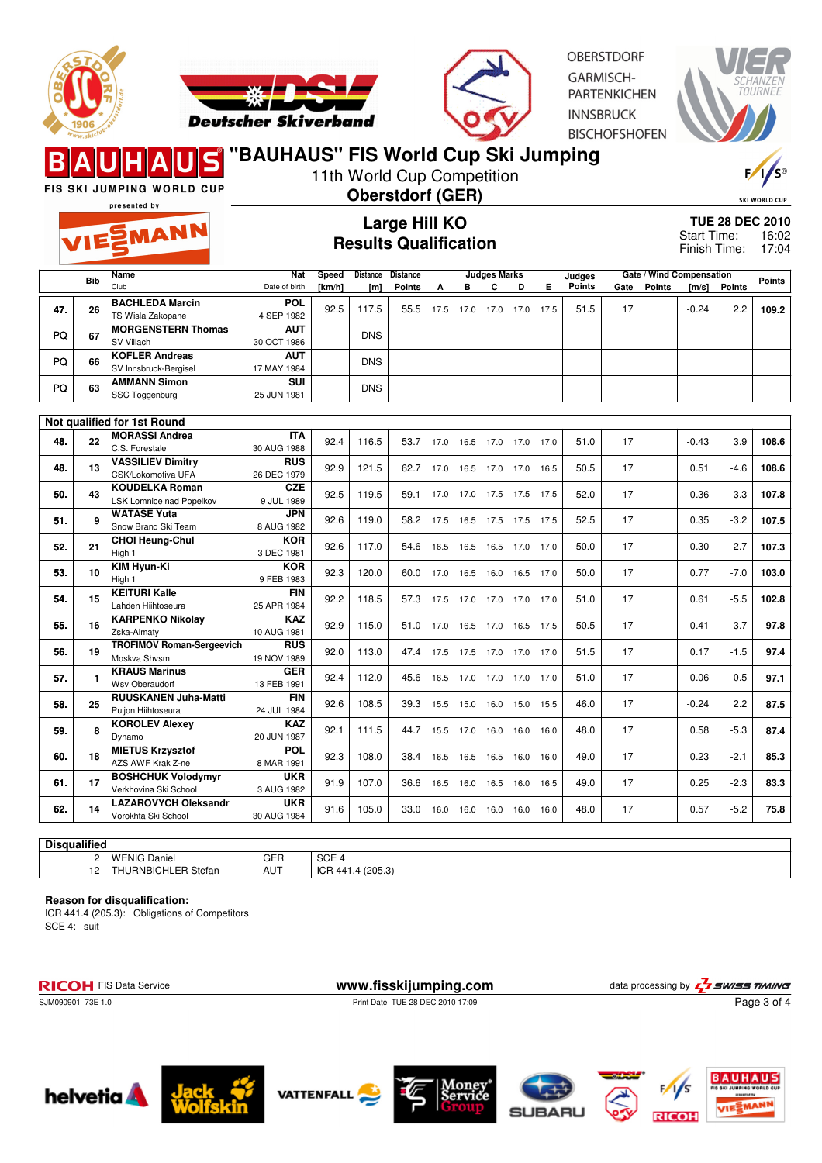



**OBERSTDORF** GARMISCH-**PARTENKICHEN INNSBRUCK BISCHOFSHOFEN** 



FIS SKI JUMPING WORLD CUP

MANN

## **"BAUHAUS" FIS World Cup Ski Jumping**

11th World Cup Competition

presented by

# **Oberstdorf (GER) Large Hill KO**

**Results Qualification**

SKI WORLD CUP

**TUE 28 DEC 2010** 16:02 Finish Time: 17:04 Start Time:

|     | <b>Bib</b>   | Name                             | <b>Nat</b>              | Speed  | <b>Distance</b>  | <b>Distance</b> |      |                              | <b>Judges Marks</b> |                |      | Judges |      | Gate / Wind Compensation |         |               | <b>Points</b> |
|-----|--------------|----------------------------------|-------------------------|--------|------------------|-----------------|------|------------------------------|---------------------|----------------|------|--------|------|--------------------------|---------|---------------|---------------|
|     |              | Club                             | Date of birth           | [km/h] | [ <sub>m</sub> ] | <b>Points</b>   | А    | в                            | C                   | D              | E.   | Points | Gate | <b>Points</b>            | [m/s]   | <b>Points</b> |               |
| 47. | 26           | <b>BACHLEDA Marcin</b>           | <b>POL</b>              | 92.5   | 117.5            | 55.5            | 17.5 | 17.0                         | 17.0                | 17.0           | 17.5 | 51.5   | 17   |                          | $-0.24$ | 2.2           | 109.2         |
|     |              | TS Wisla Zakopane                | 4 SEP 1982              |        |                  |                 |      |                              |                     |                |      |        |      |                          |         |               |               |
| PQ  | 67           | <b>MORGENSTERN Thomas</b>        | <b>AUT</b>              |        | <b>DNS</b>       |                 |      |                              |                     |                |      |        |      |                          |         |               |               |
|     |              | SV Villach                       | 30 OCT 1986             |        |                  |                 |      |                              |                     |                |      |        |      |                          |         |               |               |
| PQ  | 66           | <b>KOFLER Andreas</b>            | <b>AUT</b>              |        | <b>DNS</b>       |                 |      |                              |                     |                |      |        |      |                          |         |               |               |
|     |              | SV Innsbruck-Bergisel            | 17 MAY 1984             |        |                  |                 |      |                              |                     |                |      |        |      |                          |         |               |               |
| PQ  | 63           | <b>AMMANN Simon</b>              | $\overline{\text{SUI}}$ |        | <b>DNS</b>       |                 |      |                              |                     |                |      |        |      |                          |         |               |               |
|     |              | SSC Toggenburg                   | 25 JUN 1981             |        |                  |                 |      |                              |                     |                |      |        |      |                          |         |               |               |
|     |              |                                  |                         |        |                  |                 |      |                              |                     |                |      |        |      |                          |         |               |               |
|     |              | Not qualified for 1st Round      |                         |        |                  |                 |      |                              |                     |                |      |        |      |                          |         |               |               |
|     | 22           | <b>MORASSI Andrea</b>            | <b>ITA</b>              | 92.4   | 116.5            | 53.7            |      |                              |                     |                |      | 51.0   | 17   |                          | $-0.43$ | 3.9           | 108.6         |
| 48. |              | C.S. Forestale                   | 30 AUG 1988             |        |                  |                 | 17.0 | 16.5                         | 17.0 17.0 17.0      |                |      |        |      |                          |         |               |               |
| 48. | 13           | <b>VASSILIEV Dimitry</b>         | <b>RUS</b>              | 92.9   | 121.5            | 62.7            |      |                              |                     |                |      | 50.5   | 17   |                          | 0.51    | $-4.6$        | 108.6         |
|     |              | CSK/Lokomotiva UFA               | 26 DEC 1979             |        |                  |                 | 17.0 | 16.5                         | 17.0                | 17.0           | 16.5 |        |      |                          |         |               |               |
|     |              | <b>KOUDELKA Roman</b>            | <b>CZE</b>              |        |                  |                 |      |                              |                     |                |      |        | 17   |                          |         |               | 107.8         |
| 50. | 43           | LSK Lomnice nad Popelkov         | 9 JUL 1989              | 92.5   | 119.5            | 59.1            |      | 17.0 17.0 17.5 17.5 17.5     |                     |                |      | 52.0   |      |                          | 0.36    | $-3.3$        |               |
|     |              | <b>WATASE Yuta</b>               | <b>JPN</b>              |        |                  |                 |      |                              |                     |                |      |        |      |                          |         |               |               |
| 51. | 9            | Snow Brand Ski Team              | 8 AUG 1982              | 92.6   | 119.0            | 58.2            |      | 17.5  16.5  17.5  17.5  17.5 |                     |                |      | 52.5   | 17   |                          | 0.35    | $-3.2$        | 107.5         |
|     |              | <b>CHOI Heung-Chul</b>           | <b>KOR</b>              |        |                  |                 |      |                              |                     |                |      |        |      |                          |         |               |               |
| 52. | 21           | High 1                           | 3 DEC 1981              | 92.6   | 117.0            | 54.6            | 16.5 | 16.5                         | 16.5 17.0 17.0      |                |      | 50.0   | 17   |                          | $-0.30$ | 2.7           | 107.3         |
|     |              | <b>KIM Hvun-Ki</b>               | <b>KOR</b>              |        |                  |                 |      |                              |                     |                |      |        |      |                          |         |               |               |
| 53. | 10           | High 1                           | 9 FEB 1983              | 92.3   | 120.0            | 60.0            | 17.0 | 16.5                         | 16.0 16.5           |                | 17.0 | 50.0   | 17   |                          | 0.77    | $-7.0$        | 103.0         |
|     |              | <b>KEITURI Kalle</b>             | FIN                     |        |                  |                 |      |                              |                     |                |      |        |      |                          |         |               |               |
| 54. | 15           | Lahden Hiihtoseura               | 25 APR 1984             | 92.2   | 118.5            | 57.3            |      | 17.5 17.0 17.0 17.0 17.0     |                     |                |      | 51.0   | 17   |                          | 0.61    | $-5.5$        | 102.8         |
|     |              | <b>KARPENKO Nikolay</b>          | <b>KAZ</b>              |        |                  |                 |      |                              |                     |                |      |        |      |                          |         |               |               |
| 55. | 16           | Zska-Almaty                      | 10 AUG 1981             | 92.9   | 115.0            | 51.0            |      | 17.0 16.5                    | 17.0 16.5           |                | 17.5 | 50.5   | 17   |                          | 0.41    | $-3.7$        | 97.8          |
|     |              | <b>TROFIMOV Roman-Sergeevich</b> | <b>RUS</b>              |        |                  |                 |      |                              |                     |                |      |        |      |                          |         |               |               |
| 56. | 19           | Moskva Shvsm                     | 19 NOV 1989             | 92.0   | 113.0            | 47.4            | 17.5 | 17.5                         | 17.0 17.0 17.0      |                |      | 51.5   | 17   |                          | 0.17    | $-1.5$        | 97.4          |
|     |              | <b>KRAUS Marinus</b>             | <b>GER</b>              |        |                  |                 |      |                              |                     |                |      |        |      |                          |         |               |               |
| 57. | $\mathbf{1}$ | Wsv Oberaudorf                   | 13 FEB 1991             | 92.4   | 112.0            | 45.6            | 16.5 | 17.0 17.0 17.0 17.0          |                     |                |      | 51.0   | 17   |                          | $-0.06$ | 0.5           | 97.1          |
|     |              | <b>RUUSKANEN Juha-Matti</b>      | <b>FIN</b>              |        |                  |                 |      |                              |                     |                |      |        |      |                          |         |               |               |
| 58. | 25           | Puijon Hiihtoseura               | 24 JUL 1984             | 92.6   | 108.5            | 39.3            | 15.5 | 15.0                         |                     | 16.0 15.0 15.5 |      | 46.0   | 17   |                          | $-0.24$ | 2.2           | 87.5          |
|     |              | <b>KOROLEV Alexey</b>            | <b>KAZ</b>              |        |                  |                 |      |                              |                     |                |      |        |      |                          |         |               |               |
| 59. | 8            | Dynamo                           | 20 JUN 1987             | 92.1   | 111.5            | 44.7            | 15.5 | 17.0                         | 16.0                | 16.0           | 16.0 | 48.0   | 17   |                          | 0.58    | $-5.3$        | 87.4          |
|     |              | <b>MIETUS Krzysztof</b>          | POL                     |        |                  |                 |      |                              |                     |                |      |        |      |                          |         |               |               |
| 60. | 18           | AZS AWF Krak Z-ne                | 8 MAR 1991              | 92.3   | 108.0            | 38.4            | 16.5 | 16.5                         | 16.5                | 16.0           | 16.0 | 49.0   | 17   |                          | 0.23    | $-2.1$        | 85.3          |
|     |              | <b>BOSHCHUK Volodymyr</b>        | <b>UKR</b>              |        |                  |                 |      |                              |                     |                |      |        |      |                          |         |               |               |
| 61. | 17           | Verkhovina Ski School            | 3 AUG 1982              | 91.9   | 107.0            | 36.6            | 16.5 | 16.0                         | 16.5 16.0           |                | 16.5 | 49.0   | 17   |                          | 0.25    | $-2.3$        | 83.3          |
|     |              | <b>LAZAROVYCH Oleksandr</b>      | <b>UKR</b>              |        |                  |                 |      |                              |                     |                |      |        |      |                          |         |               |               |
| 62. | 14           | Vorokhta Ski School              | 30 AUG 1984             | 91.6   | 105.0            | 33.0            | 16.0 | 16.0                         | 16.0 16.0 16.0      |                |      | 48.0   | 17   |                          | 0.57    | $-5.2$        | 75.8          |
|     |              |                                  |                         |        |                  |                 |      |                              |                     |                |      |        |      |                          |         |               |               |

### **Disqualified**

| <b>PISUUAIIII GU</b> |                                                |                      |                                        |  |  |  |  |  |  |  |  |
|----------------------|------------------------------------------------|----------------------|----------------------------------------|--|--|--|--|--|--|--|--|
|                      | $\sim$<br>Daniel<br>. .<br>-ND<br>. .          | GER<br>$\sim$ $\sim$ | $\cap$ $\cap$<br>-<br>-<br>◡◡∟<br>$ -$ |  |  |  |  |  |  |  |  |
| . .                  | Stefan<br>.11V <sub>F</sub><br><b>INDIUMLL</b> | .<br>AU.             | (0.05.0)<br>$\sim$<br>ושו<br>ט.ט       |  |  |  |  |  |  |  |  |

#### **Reason for disqualification:**

ICR 441.4 (205.3): Obligations of Competitors SCE 4: suit

**RICOH** FIS Data Service **www.fisskijumping.com** data processing by  $\frac{7}{2}$  **SWISS TIMING** SJM090901\_73E 1.0 Print Date TUE 28 DEC 2010 17:09 Page 3 of 4